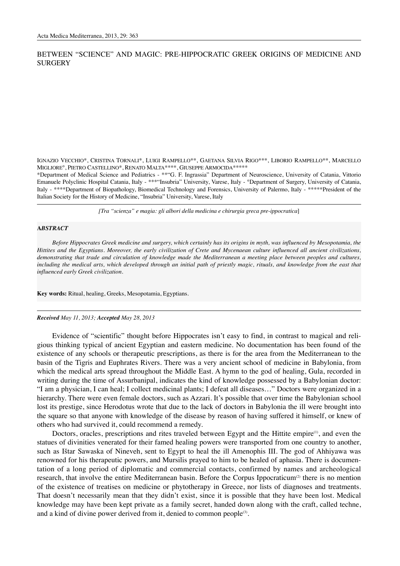## BETWEEN "SCIENCE" AND MAGIC: PRE-HIPPOCRATIC GREEK ORIGINS OF MEDICINE AND **SURGERY**

IGNAZIO VECCHIO\*, CRISTINA TORNALI\*, LUIGI RAMPELLO\*\*, GAETANA SILVIA RIGO\*\*\*, LIBORIO RAMPELLO\*\*, MARCELLO MIGLIORE°, PIETRO CASTELLINO\*, RENATO MALTA\*\*\*\*, GIUSEPPE ARMOCIDA\*\*\*\*\*

\*Department of Medical Science and Pediatrics - \*\*"G. F. Ingrassia" Department of Neuroscience, University of Catania, Vittorio Emanuele Polyclinic Hospital Catania, Italy - \*\*\*"Insubria" University, Varese, Italy - °Department of Surgery, University of Catania, Italy - \*\*\*\*Department of Biopathology, Biomedical Technology and Forensics, University of Palermo, Italy - \*\*\*\*\*President of the Italian Society for the History of Medicine, "Insubria" University, Varese, Italy

*[Tra "scienza" e magia: gli albori della medicina e chirurgia greca pre-ippocratica*]

## **A***BSTRACT*

*Before Hippocrates Greek medicine and surgery, which certainly has its origins in myth, was influenced by Mesopotamia, the Hittites and the Egyptians. Moreover, the early civilization of Crete and Mycenaean culture influenced all ancient civilizations, demonstrating that trade and circulation of knowledge made the Mediterranean a meeting place between peoples and cultures, including the medical arts, which developed through an initial path of priestly magic, rituals, and knowledge from the east that influenced early Greek civilization.*

**Key words:** Ritual, healing, Greeks, Mesopotamia, Egyptians.

## *Received May 11, 2013; Accepted May 28, 2013*

Evidence of "scientific" thought before Hippocrates isn't easy to find, in contrast to magical and religious thinking typical of ancient Egyptian and eastern medicine. No documentation has been found of the existence of any schools or therapeutic prescriptions, as there is for the area from the Mediterranean to the basin of the Tigris and Euphrates Rivers. There was a very ancient school of medicine in Babylonia, from which the medical arts spread throughout the Middle East. A hymn to the god of healing, Gula, recorded in writing during the time of Assurbanipal, indicates the kind of knowledge possessed by a Babylonian doctor: "I am a physician, I can heal; I collect medicinal plants; I defeat all diseases…" Doctors were organized in a hierarchy. There were even female doctors, such as Azzari. It's possible that over time the Babylonian school lost its prestige, since Herodotus wrote that due to the lack of doctors in Babylonia the ill were brought into the square so that anyone with knowledge of the disease by reason of having suffered it himself, or knew of others who had survived it, could recommend a remedy.

Doctors, oracles, prescriptions and rites traveled between Egypt and the Hittite empire<sup>(1)</sup>, and even the statues of divinities venerated for their famed healing powers were transported from one country to another, such as Ištar Sawaska of Nineveh, sent to Egypt to heal the ill Amenophis III. The god of Ahhiyawa was renowned for his therapeutic powers, and Mursilis prayed to him to be healed of aphasia. There is documentation of a long period of diplomatic and commercial contacts, confirmed by names and archeological research, that involve the entire Mediterranean basin. Before the Corpus Ippocraticum<sup>(2)</sup> there is no mention of the existence of treatises on medicine or phytotherapy in Greece, nor lists of diagnoses and treatments. That doesn't necessarily mean that they didn't exist, since it is possible that they have been lost. Medical knowledge may have been kept private as a family secret, handed down along with the craft, called techne, and a kind of divine power derived from it, denied to common people<sup>(3)</sup>.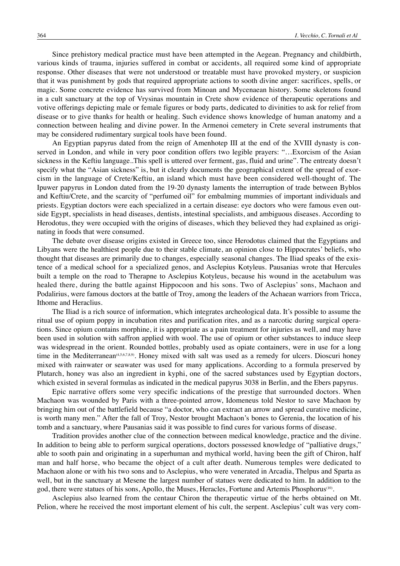Since prehistory medical practice must have been attempted in the Aegean. Pregnancy and childbirth, various kinds of trauma, injuries suffered in combat or accidents, all required some kind of appropriate response. Other diseases that were not understood or treatable must have provoked mystery, or suspicion that it was punishment by gods that required appropriate actions to sooth divine anger: sacrifices, spells, or magic. Some concrete evidence has survived from Minoan and Mycenaean history. Some skeletons found in a cult sanctuary at the top of Vrysinas mountain in Crete show evidence of therapeutic operations and votive offerings depicting male or female figures or body parts, dedicated to divinities to ask for relief from disease or to give thanks for health or healing. Such evidence shows knowledge of human anatomy and a connection between healing and divine power. In the Armenoi cemetery in Crete several instruments that may be considered rudimentary surgical tools have been found.

An Egyptian papyrus dated from the reign of Amenhotep III at the end of the XVIII dynasty is conserved in London, and while in very poor condition offers two legible prayers: "…Exorcism of the Asian sickness in the Keftiu language..This spell is uttered over ferment, gas, fluid and urine". The entreaty doesn't specify what the "Asian sickness" is, but it clearly documents the geographical extent of the spread of exorcism in the language of Crete/Keftiu, an island which must have been considered well-thought of. The Ipuwer papyrus in London dated from the 19-20 dynasty laments the interruption of trade between Byblos and Keftiu/Crete, and the scarcity of "perfumed oil" for embalming mummies of important individuals and priests. Egyptian doctors were each specialized in a certain disease: eye doctors who were famous even outside Egypt, specialists in head diseases, dentists, intestinal specialists, and ambiguous diseases. According to Herodotus, they were occupied with the origins of diseases, which they believed they had explained as originating in foods that were consumed.

The debate over disease origins existed in Greece too, since Herodotus claimed that the Egyptians and Libyans were the healthiest people due to their stable climate, an opinion close to Hippocrates' beliefs, who thought that diseases are primarily due to changes, especially seasonal changes. The Iliad speaks of the existence of a medical school for a specialized genos, and Asclepius Kotyleus. Pausanias wrote that Hercules built a temple on the road to Therapne to Asclepius Kotyleus, because his wound in the acetabulum was healed there, during the battle against Hippocoon and his sons. Two of Asclepius' sons, Machaon and Podalirius, were famous doctors at the battle of Troy, among the leaders of the Achaean warriors from Tricca, Ithome and Heraclius.

The Iliad is a rich source of information, which integrates archeological data. It's possible to assume the ritual use of opium poppy in incubation rites and purification rites, and as a narcotic during surgical operations. Since opium contains morphine, it is appropriate as a pain treatment for injuries as well, and may have been used in solution with saffron applied with wool. The use of opium or other substances to induce sleep was widespread in the orient. Rounded bottles, probably used as opiate containers, were in use for a long time in the Mediterranean<sup>(4,5,6,7,8,9)</sup>. Honey mixed with salt was used as a remedy for ulcers. Dioscuri honey mixed with rainwater or seawater was used for many applications. According to a formula preserved by Plutarch, honey was also an ingredient in kyphi, one of the sacred substances used by Egyptian doctors, which existed in several formulas as indicated in the medical papyrus 3038 in Berlin, and the Ebers papyrus.

Epic narrative offers some very specific indications of the prestige that surrounded doctors. When Machaon was wounded by Paris with a three-pointed arrow, Idomeneus told Nestor to save Machaon by bringing him out of the battlefield because "a doctor, who can extract an arrow and spread curative medicine, is worth many men." After the fall of Troy, Nestor brought Machaon's bones to Gerenia, the location of his tomb and a sanctuary, where Pausanias said it was possible to find cures for various forms of disease.

Tradition provides another clue of the connection between medical knowledge, practice and the divine. In addition to being able to perform surgical operations, doctors possessed knowledge of "palliative drugs," able to sooth pain and originating in a superhuman and mythical world, having been the gift of Chiron, half man and half horse, who became the object of a cult after death. Numerous temples were dedicated to Machaon alone or with his two sons and to Asclepius, who were venerated in Arcadia, Thelpus and Sparta as well, but in the sanctuary at Mesene the largest number of statues were dedicated to him. In addition to the god, there were statues of his sons, Apollo, the Muses, Heracles, Fortune and Artemis Phosphorus(10).

Asclepius also learned from the centaur Chiron the therapeutic virtue of the herbs obtained on Mt. Pelion, where he received the most important element of his cult, the serpent. Asclepius' cult was very com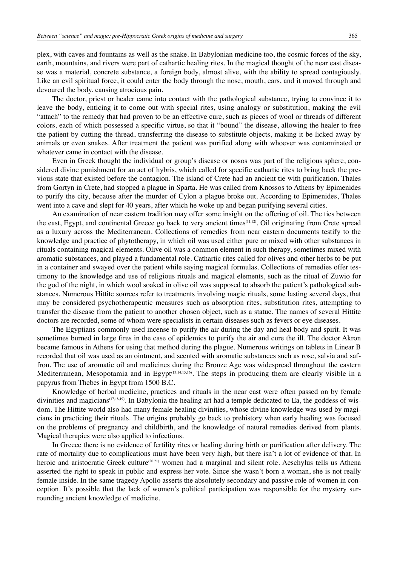plex, with caves and fountains as well as the snake. In Babylonian medicine too, the cosmic forces of the sky, earth, mountains, and rivers were part of cathartic healing rites. In the magical thought of the near east disease was a material, concrete substance, a foreign body, almost alive, with the ability to spread contagiously. Like an evil spiritual force, it could enter the body through the nose, mouth, ears, and it moved through and devoured the body, causing atrocious pain.

The doctor, priest or healer came into contact with the pathological substance, trying to convince it to leave the body, enticing it to come out with special rites, using analogy or substitution, making the evil "attach" to the remedy that had proven to be an effective cure, such as pieces of wool or threads of different colors, each of which possessed a specific virtue, so that it "bound" the disease, allowing the healer to free the patient by cutting the thread, transferring the disease to substitute objects, making it be licked away by animals or even snakes. After treatment the patient was purified along with whoever was contaminated or whatever came in contact with the disease.

Even in Greek thought the individual or group's disease or nosos was part of the religious sphere, considered divine punishment for an act of hybris, which called for specific cathartic rites to bring back the previous state that existed before the contagion. The island of Crete had an ancient tie with purification. Thales from Gortyn in Crete, had stopped a plague in Sparta. He was called from Knossos to Athens by Epimenides to purify the city, because after the murder of Cylon a plague broke out. According to Epimenides, Thales went into a cave and slept for 40 years, after which he woke up and began purifying several cities.

An examination of near eastern tradition may offer some insight on the offering of oil. The ties between the east, Egypt, and continental Greece go back to very ancient times(11,12). Oil originating from Crete spread as a luxury across the Mediterranean. Collections of remedies from near eastern documents testify to the knowledge and practice of phytotherapy, in which oil was used either pure or mixed with other substances in rituals containing magical elements. Olive oil was a common element in such therapy, sometimes mixed with aromatic substances, and played a fundamental role. Cathartic rites called for olives and other herbs to be put in a container and swayed over the patient while saying magical formulas. Collections of remedies offer testimony to the knowledge and use of religious rituals and magical elements, such as the ritual of Zuwio for the god of the night, in which wool soaked in olive oil was supposed to absorb the patient's pathological substances. Numerous Hittite sources refer to treatments involving magic rituals, some lasting several days, that may be considered psychotherapeutic measures such as absorption rites, substitution rites, attempting to transfer the disease from the patient to another chosen object, such as a statue. The names of several Hittite doctors are recorded, some of whom were specialists in certain diseases such as fevers or eye diseases.

The Egyptians commonly used incense to purify the air during the day and heal body and spirit. It was sometimes burned in large fires in the case of epidemics to purify the air and cure the ill. The doctor Akron became famous in Athens for using that method during the plague. Numerous writings on tablets in Linear B recorded that oil was used as an ointment, and scented with aromatic substances such as rose, salvia and saffron. The use of aromatic oil and medicines during the Bronze Age was widespread throughout the eastern Mediterranean, Mesopotamia and in Egypt<sup> $(13,14,15,16)$ </sup>. The steps in producing them are clearly visible in a papyrus from Thebes in Egypt from 1500 B.C.

Knowledge of herbal medicine, practices and rituals in the near east were often passed on by female divinities and magicians<sup>(17,18,19)</sup>. In Babylonia the healing art had a temple dedicated to Ea, the goddess of wisdom. The Hittite world also had many female healing divinities, whose divine knowledge was used by magicians in practicing their rituals. The origins probably go back to prehistory when early healing was focused on the problems of pregnancy and childbirth, and the knowledge of natural remedies derived from plants. Magical therapies were also applied to infections.

In Greece there is no evidence of fertility rites or healing during birth or purification after delivery. The rate of mortality due to complications must have been very high, but there isn't a lot of evidence of that. In heroic and aristocratic Greek culture<sup>(20,21)</sup> women had a marginal and silent role. Aeschylus tells us Athena asserted the right to speak in public and express her vote. Since she wasn't born a woman, she is not really female inside. In the same tragedy Apollo asserts the absolutely secondary and passive role of women in conception. It's possible that the lack of women's political participation was responsible for the mystery surrounding ancient knowledge of medicine.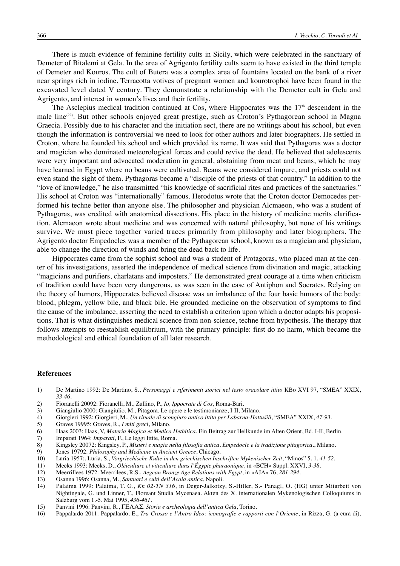There is much evidence of feminine fertility cults in Sicily, which were celebrated in the sanctuary of Demeter of Bitalemi at Gela. In the area of Agrigento fertility cults seem to have existed in the third temple of Demeter and Kouros. The cult of Butera was a complex area of fountains located on the bank of a river near springs rich in iodine. Terracotta votives of pregnant women and kourotrophoi have been found in the excavated level dated V century. They demonstrate a relationship with the Demeter cult in Gela and Agrigento, and interest in women's lives and their fertility.

The Asclepius medical tradition continued at Cos, where Hippocrates was the  $17<sup>th</sup>$  descendent in the male line<sup>(22)</sup>. But other schools enjoyed great prestige, such as Croton's Pythagorean school in Magna Graecia. Possibly due to his character and the initiation sect, there are no writings about his school, but even though the information is controversial we need to look for other authors and later biographers. He settled in Croton, where he founded his school and which provided its name. It was said that Pythagoras was a doctor and magician who dominated meteorological forces and could revive the dead. He believed that adolescents were very important and advocated moderation in general, abstaining from meat and beans, which he may have learned in Egypt where no beans were cultivated. Beans were considered impure, and priests could not even stand the sight of them. Pythagoras became a "disciple of the priests of that country." In addition to the "love of knowledge," he also transmitted "his knowledge of sacrificial rites and practices of the sanctuaries." His school at Croton was "internationally" famous. Herodotus wrote that the Croton doctor Democedes performed his techne better than anyone else. The philosopher and physician Alcmaeon, who was a student of Pythagoras, was credited with anatomical dissections. His place in the history of medicine merits clarification. Alcmaeon wrote about medicine and was concerned with natural philosophy, but none of his writings survive. We must piece together varied traces primarily from philosophy and later biographers. The Agrigento doctor Empedocles was a member of the Pythagorean school, known as a magician and physician, able to change the direction of winds and bring the dead back to life.

Hippocrates came from the sophist school and was a student of Protagoras, who placed man at the center of his investigations, asserted the independence of medical science from divination and magic, attacking "magicians and purifiers, charlatans and imposters." He demonstrated great courage at a time when criticism of tradition could have been very dangerous, as was seen in the case of Antiphon and Socrates. Relying on the theory of humors, Hippocrates believed disease was an imbalance of the four basic humors of the body: blood, phlegm, yellow bile, and black bile. He grounded medicine on the observation of symptoms to find the cause of the imbalance, asserting the need to establish a criterion upon which a doctor adapts his propositions. That is what distinguishes medical science from non-science, techne from hypothesis. The therapy that follows attempts to reestablish equilibrium, with the primary principle: first do no harm, which became the methodological and ethical foundation of all later research.

## **References**

- 1) De Martino 1992: De Martino, S., *Personaggi e riferimenti storici nel testo oracolare ittito* KBo XVI 97, "SMEA" XXIX, *33-46*.
- 2) Fioranelli 20092: Fioranelli, M., Zullino, P., *Io, Ippocrate di Cos*, Roma-Bari.
- 3) Giangiulio 2000: Giangiulio, M., Pitagora. Le opere e le testimonianze, I-II, Milano.<br>4) Giorgieri 1992: Giorgieri, M., Un rituale di scongiuro antico ittita per Labarna-Hatt
- 4) Giorgieri 1992: Giorgieri, M., *Un rituale di scongiuro antico ittita per Labarna-Hattušili*, "SMEA" XXIX, *47-93.*
- 5) Graves 19995: Graves, R., *I miti greci*, Milano.
- 6) Haas 2003: Haas, V, *Materia Magica et Medica Hethitica*. Ein Beitrag zur Heilkunde im Alten Orient, Bd. I-II, Berlin.
- 7) Imparati 1964: *Imparati*, F., Le leggi Ittite, Roma.<br>8) Kingsley 20072: Kingsley, P., *Misteri e magia neli*
- 8) Kingsley 20072: Kingsley, P., *Misteri e magia nella filosofia antica. Empedocle e la tradizione pitagorica*., Milano.
- 9) Jones 19792: *Philosophy and Medicine in Ancient Greece*, Chicago.
- 10) Luria 1957:, Luria, S., *Vorgriechische Kulte in den griechischen Inschriften Mykenischer Zeit*, "Minos" 5, 1, *41-52*.
- 11) Meeks 1993: Meeks, D., *Oléiculture et viticulture dans l'Égypte pharaonique*, in «BCH» Suppl. XXVI, *3-38*.
- 12) Meerrillees 1972: Meerrilees, R.S., *Aegean Bronze Age Relations with Egypt*, in «AJA» 76, *281-294*.
- 13) Osanna 1996: Osanna, M., *Santuari e culti dell'Acaia antica*, Napoli.
- 14) Palaima 1999: Palaima, T. G., *Kn 02-TN 316*, in Deger-Jalkotzy, S.-Hiller, S.- Panagl, O. (HG) unter Mitarbeit von Nightingale, G. und Linner, T., Floreant Studia Mycenaea. Akten des X. internationalen Mykenologischen Colloquiums in Salzburg vom 1.-5. Mai 1995, *436-461*.
- 15) Panvini 1996: Panvini, R., ΓΕΛΑΣ. *Storia e archeologia dell'antica Gela*, Torino.
- 16) Pappalardo 2011: Pappalardo, E., *Tra Crosso e l'Antro Ideo: iconografie e rapporti con l'Oriente*, in Rizza, G. (a cura di),